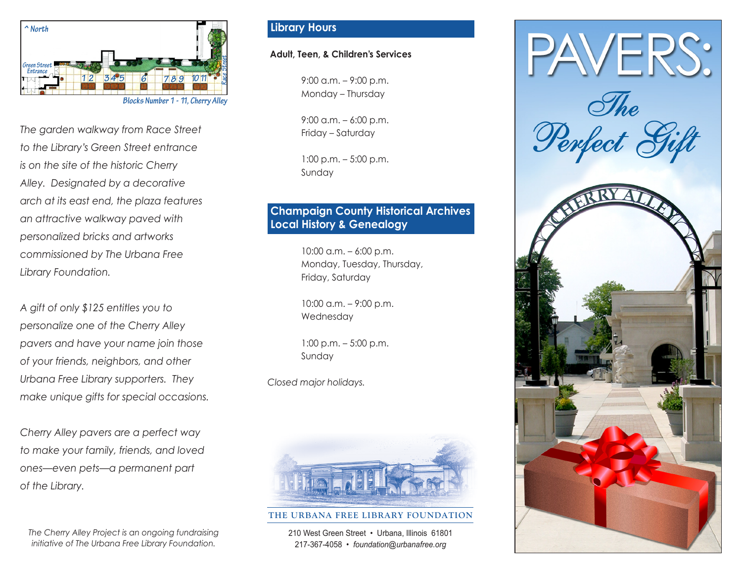

*The garden walkway from Race Street to the Library's Green Street entrance is on the site of the historic Cherry Alley. Designated by a decorative arch at its east end, the plaza features an attractive walkway paved with personalized bricks and artworks commissioned by The Urbana Free Library Foundation.* 

*A gift of only \$125 entitles you to personalize one of the Cherry Alley pavers and have your name join those of your friends, neighbors, and other Urbana Free Library supporters. They make unique gifts for special occasions.* 

*Cherry Alley pavers are a perfect way to make your family, friends, and loved ones—even pets—a permanent part of the Library.* 

*The Cherry Alley Project is an ongoing fundraising initiative of The Urbana Free Library Foundation.* 

## **Library Hours**

### **Adult, Teen, & Children's Services**

9:00 a.m. – 9:00 p.m. Monday – Thursday

9:00 a.m. – 6:00 p.m. Friday – Saturday

1:00 p.m. – 5:00 p.m. Sunday

## **Champaign County Historical Archives Local History & Genealogy**

10:00 a.m. – 6:00 p.m. Monday, Tuesday, Thursday, Friday, Saturday

10:00 a.m. – 9:00 p.m. Wednesday

1:00 p.m. – 5:00 p.m. Sunday

*Closed major holidays.*



#### **THE URBANA FREE LIBRARY FOUNDATION**

210 West Green Street • Urbana, Illinois 61801 217-367-4058 • *foundation@urbanafree.org*